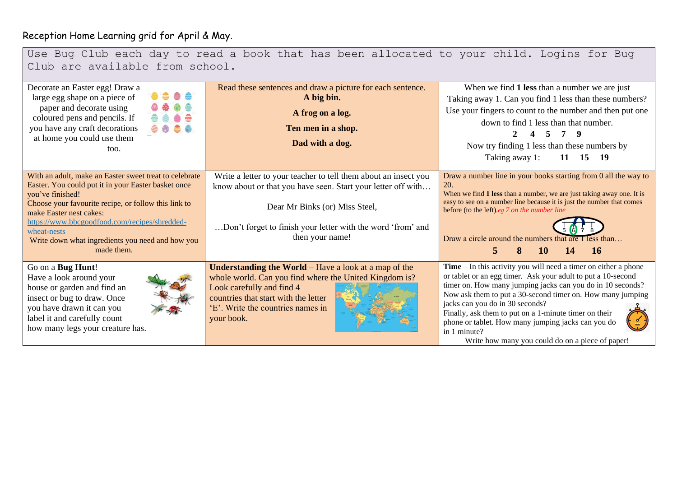## Reception Home Learning grid for April & May.

| Use Bug Club each day to read a book that has been allocated to your child. Logins for Bug<br>Club are available from school.                                                                                                                                                                                                                          |                                                                                                                                                                                                                                                     |                                                                                                                                                                                                                                                                                                                                                                                                                                                                                     |  |
|--------------------------------------------------------------------------------------------------------------------------------------------------------------------------------------------------------------------------------------------------------------------------------------------------------------------------------------------------------|-----------------------------------------------------------------------------------------------------------------------------------------------------------------------------------------------------------------------------------------------------|-------------------------------------------------------------------------------------------------------------------------------------------------------------------------------------------------------------------------------------------------------------------------------------------------------------------------------------------------------------------------------------------------------------------------------------------------------------------------------------|--|
| Decorate an Easter egg! Draw a<br>large egg shape on a piece of<br>paper and decorate using<br>coloured pens and pencils. If<br>you have any craft decorations<br>at home you could use them<br>too.                                                                                                                                                   | Read these sentences and draw a picture for each sentence.<br>A big bin.<br>A frog on a log.<br>Ten men in a shop.<br>Dad with a dog.                                                                                                               | When we find 1 less than a number we are just<br>Taking away 1. Can you find 1 less than these numbers?<br>Use your fingers to count to the number and then put one<br>down to find 1 less than that number.<br>Now try finding 1 less than these numbers by<br>Taking away 1:<br>11 15 19                                                                                                                                                                                          |  |
| With an adult, make an Easter sweet treat to celebrate<br>Easter. You could put it in your Easter basket once<br>you've finished!<br>Choose your favourite recipe, or follow this link to<br>make Easter nest cakes:<br>https://www.bbcgoodfood.com/recipes/shredded-<br>wheat-nests<br>Write down what ingredients you need and how you<br>made them. | Write a letter to your teacher to tell them about an insect you<br>know about or that you have seen. Start your letter off with<br>Dear Mr Binks (or) Miss Steel,<br>Don't forget to finish your letter with the word 'from' and<br>then your name! | Draw a number line in your books starting from 0 all the way to<br>20.<br>When we find 1 less than a number, we are just taking away one. It is<br>easy to see on a number line because it is just the number that comes<br>before (to the left).eg 7 on the number line<br>Draw a circle around the numbers that are I less than<br>10<br>14<br><b>16</b><br>5.                                                                                                                    |  |
| Go on a Bug Hunt!<br>Have a look around your<br>house or garden and find an<br>insect or bug to draw. Once<br>you have drawn it can you<br>label it and carefully count<br>how many legs your creature has.                                                                                                                                            | <b>Understanding the World – Have a look at a map of the</b><br>whole world. Can you find where the United Kingdom is?<br>Look carefully and find 4<br>countries that start with the letter<br>'E'. Write the countries names in<br>your book.      | $Time - In this activity you will need a timer on either a phone$<br>or tablet or an egg timer. Ask your adult to put a 10-second<br>timer on. How many jumping jacks can you do in 10 seconds?<br>Now ask them to put a 30-second timer on. How many jumping<br>jacks can you do in 30 seconds?<br>Finally, ask them to put on a 1-minute timer on their<br>phone or tablet. How many jumping jacks can you do<br>in 1 minute?<br>Write how many you could do on a piece of paper! |  |